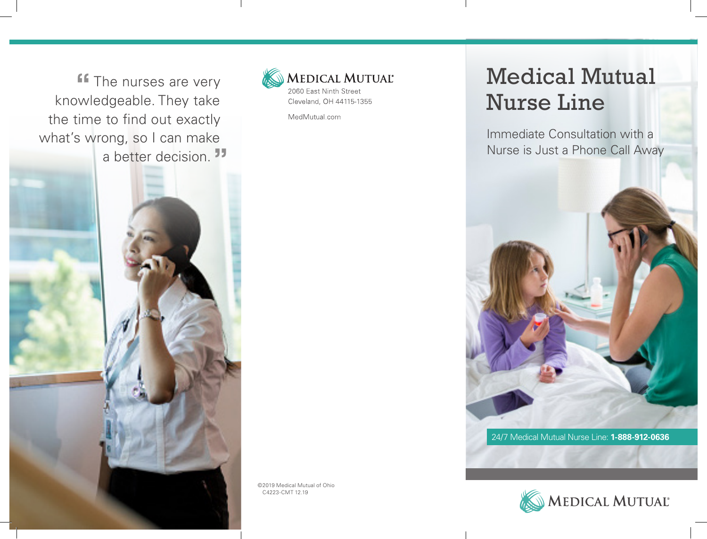**"** The nurses are very knowledgeable. They take the time to find out exactly what's wrong, so I can make a better decision.**"**



MedMutual.com

## Medical Mutual Nurse Line

Immediate Consultation with a Nurse is Just a Phone Call Away





©2019 Medical Mutual of Ohio C4223-CMT 12.19